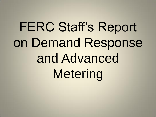## FERC Staff's Report on Demand Response and Advanced Metering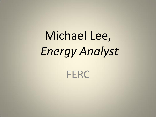# Michael Lee, *Energy Analyst*

**FERC**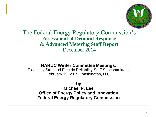

### The Federal Energy Regulatory Commission's **Assessment of Demand Response & Advanced Metering Staff Report** December 2014

### **NARUC Winter Committee Meetings:**

Electricity Staff and Electric Reliability Staff Subcommittees February 15, 2015 ,Washington, D.C.

**by Michael P. Lee Office of Energy Policy and Innovation Federal Energy Regulatory Commission**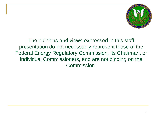

The opinions and views expressed in this staff presentation do not necessarily represent those of the Federal Energy Regulatory Commission, its Chairman, or individual Commissioners, and are not binding on the Commission.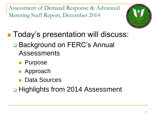

■ Today's presentation will discuss:

- □ Background on FERC's Annual Assessments
	- **Purpose**
	- **Approach**
	- **Data Sources**

□ Highlights from 2014 Assessment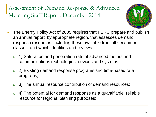

- **The Energy Policy Act of 2005 requires that FERC prepare and publish** an annual report, by appropriate region, that assesses demand response resources, including those available from all consumer classes, and which identifies and reviews –
	- □ 1) Saturation and penetration rate of advanced meters and communications technologies, devices and systems;
	- □ 2) Existing demand response programs and time-based rate programs;
	- **3)** The annual resource contribution of demand resources;
	- 4) The potential for demand response as a quantifiable, reliable resource for regional planning purposes;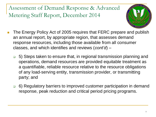

- The Energy Policy Act of 2005 requires that FERC prepare and publish an annual report, by appropriate region, that assesses demand response resources, including those available from all consumer classes, and which identifies and reviews (*cont'd*) –
	- 5) Steps taken to ensure that, in regional transmission planning and operations, demand resources are provided equitable treatment as a quantifiable, reliable resource relative to the resource obligations of any load-serving entity, transmission provider, or transmitting party; and
	- 6) Regulatory barriers to improved customer participation in demand response, peak reduction and critical period pricing programs.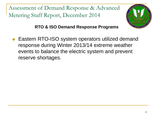

**RTO & ISO Demand Response Programs**

 Eastern RTO-ISO system operators utilized demand response during Winter 2013/14 extreme weather events to balance the electric system and prevent reserve shortages.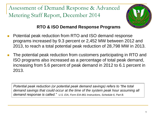

### **RTO & ISO Demand Response Programs**

- Potential peak reduction from RTO and ISO demand response programs increased by 9.3 percent or 2,452 MW between 2012 and 2013, to reach a total potential peak reduction of 28,798 MW in 2013.
- The potential peak reduction from customers participating in RTO and ISO programs also increased as a percentage of total peak demand, increasing from 5.6 percent of peak demand in 2012 to 6.1 percent in 2013.

*Potential peak reduction (or potential peak demand savings) refers to "the total demand savings that could occur at the time of the system peak hour assuming all demand response is called." U.S. EIA, Form EIA-861 Instructions, Schedule 6, Part B.*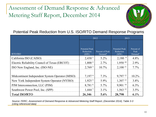

Potential Peak Reduction from U.S. ISO/RTO Demand Response Programs

|                                                 | 2012                                              |                                        | 2013                                       |                                           |
|-------------------------------------------------|---------------------------------------------------|----------------------------------------|--------------------------------------------|-------------------------------------------|
| RTO/ISO                                         | <b>Potential Peak</b><br><b>Reduction</b><br>(MW) | Percent of Peak<br>Demand <sup>8</sup> | <b>Potential Peak</b><br>Reduction<br>(MW) | Percent of<br>Peak<br>Demand <sup>8</sup> |
| California ISO (CAISO)                          | 2,430 <sup>1</sup>                                | $5.2\%$                                | $2,180^{9}$                                | 4.8%                                      |
| Electric Reliability Council of Texas (ERCOT)   | 1,800 <sup>2</sup>                                | 2.7%                                   | 1,950 10                                   | 2.9%                                      |
| ISO New England, Inc. (ISO-NE)                  | 2,769 <sup>3</sup>                                | $10.7\%$                               | $2,100$ <sup>11</sup>                      | $7.7\%$                                   |
| Midcontinent Independent System Operator (MISO) | 7,1974                                            | $7.3\%$                                | 9,797 12                                   | 10.2%                                     |
| New York Independent System Operator (NYISO)    | 1,925 <sup>5</sup>                                | 5.9%                                   | $1,307$ <sup>13</sup>                      | $3.8\%$                                   |
| PJM Interconnection, LLC (PJM)                  | 8,7816                                            | 5.7%                                   | 9,901 14                                   | 6.3%                                      |
| Southwest Power Pool, Inc. (SPP)                | 1,444 7                                           | $3.1\%$                                | 1,563 15                                   | 3.5%                                      |
| <b>Total ISO/RTO</b>                            | 26,346                                            | 5.6%                                   | 28,798                                     | 6.1%                                      |

*Source: FERC, Assessment of Demand Response & Advanced Metering Staff Report, (December 2014), Table 3-3 (citing referenced data)*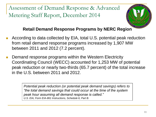

### **Retail Demand Response Programs by NERC Region**

- According to data collected by EIA, total U.S. potential peak reduction from retail demand response programs increased by 1,907 MW between 2011 and 2012 (7.2 percent).
- Demand response programs within the Western Electricity Coordinating Council (WECC) accounted for 1,253 MW of potential peak reduction or nearly two-thirds (65.7 percent) of the total increase in the U.S. between 2011 and 2012.

*Potential peak reduction (or potential peak demand savings) refers to "the total demand savings that could occur at the time of the system peak hour assuming all demand response is called." U.S. EIA, Form EIA-861 Instructions, Schedule 6, Part B.*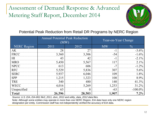

Potential Peak Reduction from Retail DR Programs by NERC Region

|                    | <b>Annual Potential Peak Reduction</b><br>(MW) |          | Year-on-Year Change |               |  |
|--------------------|------------------------------------------------|----------|---------------------|---------------|--|
| <b>NERC</b> Region | 2011                                           | 2012     | <b>MW</b>           | $\frac{0}{0}$ |  |
| AK                 | 28                                             | 27       | $-1$                | $-3.6\%$      |  |
| <b>FRCC</b>        | 3,360                                          | 3,306    | $-54$               | $-1.6\%$      |  |
| HI                 | 43                                             | 42       | $-1$                | $-2.1\%$      |  |
| <b>MRO</b>         | 5,450                                          | 5,567    | 117                 | $2.1\%$       |  |
| <b>NPCC</b>        | 613                                            | 606      | $-7$                | $-1.2\%$      |  |
| <b>RFC</b>         | 5,529                                          | 5,836    | 307                 | $5.6\%$       |  |
| <b>SERC</b>        | 5,937                                          | 6,046    | 109                 | 1.8%          |  |
| <b>SPP</b>         | 1,215                                          | 1,323    | 108                 | 8.9%          |  |
| <b>TRE</b>         | 340                                            | 480      | 140                 | 41.3%         |  |
| <b>WECC</b>        | 4,016                                          | 5,269    | 1,253               | 31.2%         |  |
| Unspecified        | 63                                             | $\theta$ | $-63$               | $-100.0\%$    |  |
| Total              | 26,596                                         | 28,503   | 1,907               | $7.2\%$       |  |

*Source: U.S. EIA, EIA-861 file3\_2011, dsm\_2012 and utility\_data\_2012 data files.* 

Note: Although some entities may operate in more than one NERC Region, EIA data have only one NERC region designation per entity. Commission staff has not independently verified the accuracy of EIA data.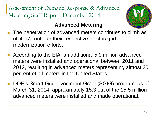- **Advanced Metering** The penetration of advanced meters continues to climb as utilities' continue their respective electric grid modernization efforts.
- According to the EIA, an additional 5.9 million advanced meters were installed and operational between 2011 and 2012, resulting in advanced meters representing almost 30 percent of all meters in the United States.
- DOE's Smart Grid Investment Grant (SGIG) program: as of March 31, 2014, approximately 15.3 out of the 15.5 million advanced meters were installed and made operational.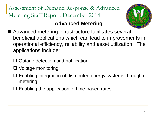### **Advanced Metering**

- Advanced metering infrastructure facilitates several beneficial applications which can lead to improvements in operational efficiency, reliability and asset utilization. The applications include:
	- $\Box$  Outage detection and notification
	- □ Voltage monitoring
	- □ Enabling integration of distributed energy systems through net metering
	- $\Box$  Enabling the application of time-based rates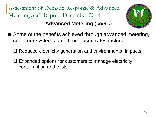Assessment of Demand Response & Advanced Metering Staff Report, December 2014 **Advanced Metering** (*cont'd*)



- Some of the benefits achieved through advanced metering, customer systems, and time-based rates include:
	- **□ Reduced electricity generation and environmental impacts**
	- $\Box$  Expanded options for customers to manage electricity consumption and costs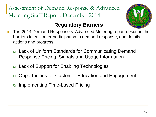

### **Regulatory Barriers**

- The 2014 Demand Response & Advanced Metering report describe the barriers to customer participation to demand response, and details actions and progress:
	- Lack of Uniform Standards for Communicating Demand Response Pricing, Signals and Usage Information
	- □ Lack of Support for Enabling Technologies
	- □ Opportunities for Customer Education and Engagement
	- □ Implementing Time-based Pricing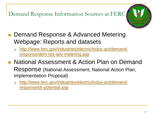Demand Response Information Sources at FERC



- **Demand Response & Advanced Metering** Webpage: Reports and datasets
	- [http://www.ferc.gov/industries/electric/indus-act/demand](http://www.ferc.gov/industries/electric/indus-act/demand-response/dem-res-adv-metering.asp)[response/dem-res-adv-metering.asp](http://www.ferc.gov/industries/electric/indus-act/demand-response/dem-res-adv-metering.asp)
- **National Assessment & Action Plan on Demand** Response (National Assessment, National Action Plan, Implementation Proposal)
	- [http://www.ferc.gov/industries/electric/indus-act/demand](http://www.ferc.gov/industries/electric/indus-act/demand-response/dr-potential.asp)[response/dr-potential.asp](http://www.ferc.gov/industries/electric/indus-act/demand-response/dr-potential.asp)